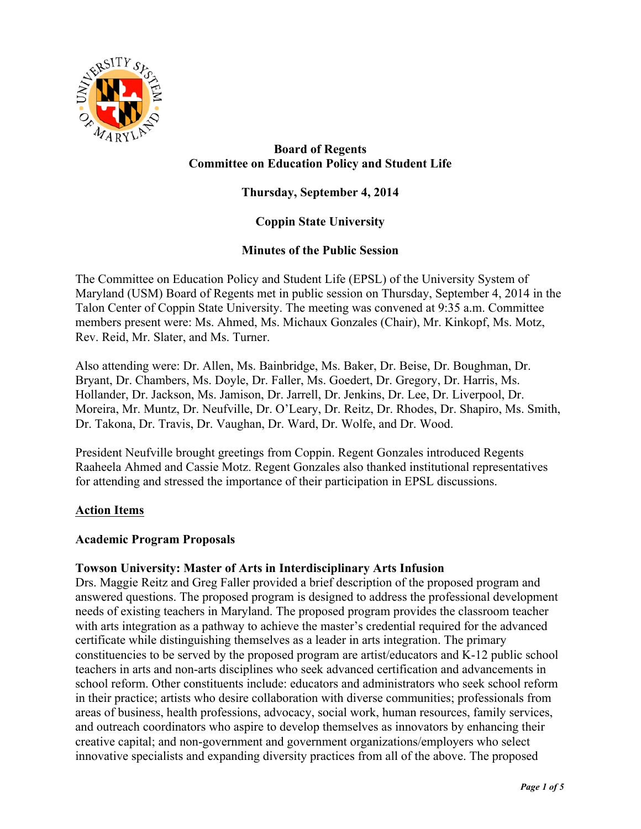

# **Board of Regents Committee on Education Policy and Student Life**

# **Thursday, September 4, 2014**

# **Coppin State University**

## **Minutes of the Public Session**

The Committee on Education Policy and Student Life (EPSL) of the University System of Maryland (USM) Board of Regents met in public session on Thursday, September 4, 2014 in the Talon Center of Coppin State University. The meeting was convened at 9:35 a.m. Committee members present were: Ms. Ahmed, Ms. Michaux Gonzales (Chair), Mr. Kinkopf, Ms. Motz, Rev. Reid, Mr. Slater, and Ms. Turner.

Also attending were: Dr. Allen, Ms. Bainbridge, Ms. Baker, Dr. Beise, Dr. Boughman, Dr. Bryant, Dr. Chambers, Ms. Doyle, Dr. Faller, Ms. Goedert, Dr. Gregory, Dr. Harris, Ms. Hollander, Dr. Jackson, Ms. Jamison, Dr. Jarrell, Dr. Jenkins, Dr. Lee, Dr. Liverpool, Dr. Moreira, Mr. Muntz, Dr. Neufville, Dr. O'Leary, Dr. Reitz, Dr. Rhodes, Dr. Shapiro, Ms. Smith, Dr. Takona, Dr. Travis, Dr. Vaughan, Dr. Ward, Dr. Wolfe, and Dr. Wood.

President Neufville brought greetings from Coppin. Regent Gonzales introduced Regents Raaheela Ahmed and Cassie Motz. Regent Gonzales also thanked institutional representatives for attending and stressed the importance of their participation in EPSL discussions.

#### **Action Items**

#### **Academic Program Proposals**

#### **Towson University: Master of Arts in Interdisciplinary Arts Infusion**

Drs. Maggie Reitz and Greg Faller provided a brief description of the proposed program and answered questions. The proposed program is designed to address the professional development needs of existing teachers in Maryland. The proposed program provides the classroom teacher with arts integration as a pathway to achieve the master's credential required for the advanced certificate while distinguishing themselves as a leader in arts integration. The primary constituencies to be served by the proposed program are artist/educators and K-12 public school teachers in arts and non-arts disciplines who seek advanced certification and advancements in school reform. Other constituents include: educators and administrators who seek school reform in their practice; artists who desire collaboration with diverse communities; professionals from areas of business, health professions, advocacy, social work, human resources, family services, and outreach coordinators who aspire to develop themselves as innovators by enhancing their creative capital; and non-government and government organizations/employers who select innovative specialists and expanding diversity practices from all of the above. The proposed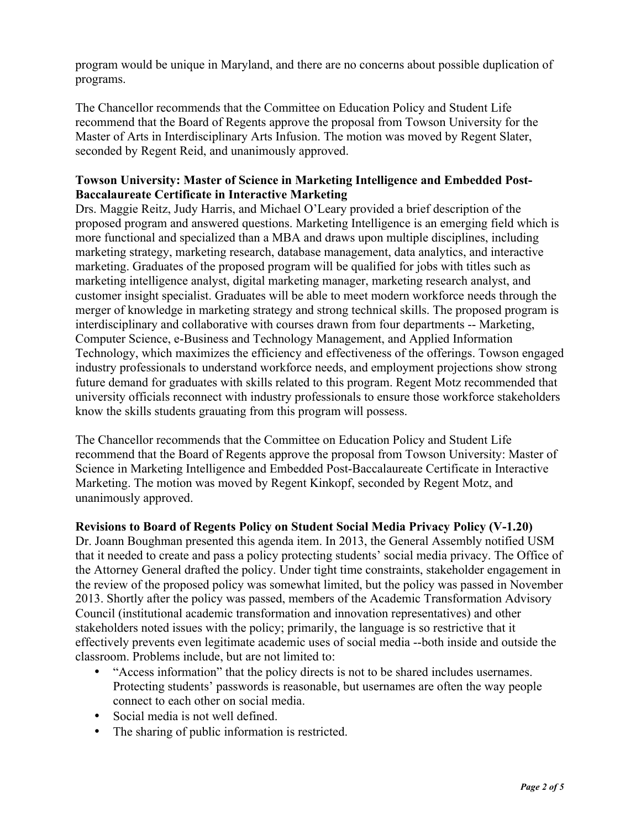program would be unique in Maryland, and there are no concerns about possible duplication of programs.

The Chancellor recommends that the Committee on Education Policy and Student Life recommend that the Board of Regents approve the proposal from Towson University for the Master of Arts in Interdisciplinary Arts Infusion. The motion was moved by Regent Slater, seconded by Regent Reid, and unanimously approved.

### **Towson University: Master of Science in Marketing Intelligence and Embedded Post-Baccalaureate Certificate in Interactive Marketing**

Drs. Maggie Reitz, Judy Harris, and Michael O'Leary provided a brief description of the proposed program and answered questions. Marketing Intelligence is an emerging field which is more functional and specialized than a MBA and draws upon multiple disciplines, including marketing strategy, marketing research, database management, data analytics, and interactive marketing. Graduates of the proposed program will be qualified for jobs with titles such as marketing intelligence analyst, digital marketing manager, marketing research analyst, and customer insight specialist. Graduates will be able to meet modern workforce needs through the merger of knowledge in marketing strategy and strong technical skills. The proposed program is interdisciplinary and collaborative with courses drawn from four departments -- Marketing, Computer Science, e-Business and Technology Management, and Applied Information Technology, which maximizes the efficiency and effectiveness of the offerings. Towson engaged industry professionals to understand workforce needs, and employment projections show strong future demand for graduates with skills related to this program. Regent Motz recommended that university officials reconnect with industry professionals to ensure those workforce stakeholders know the skills students grauating from this program will possess.

The Chancellor recommends that the Committee on Education Policy and Student Life recommend that the Board of Regents approve the proposal from Towson University: Master of Science in Marketing Intelligence and Embedded Post-Baccalaureate Certificate in Interactive Marketing. The motion was moved by Regent Kinkopf, seconded by Regent Motz, and unanimously approved.

## **Revisions to Board of Regents Policy on Student Social Media Privacy Policy (V-1.20)**

Dr. Joann Boughman presented this agenda item. In 2013, the General Assembly notified USM that it needed to create and pass a policy protecting students' social media privacy. The Office of the Attorney General drafted the policy. Under tight time constraints, stakeholder engagement in the review of the proposed policy was somewhat limited, but the policy was passed in November 2013. Shortly after the policy was passed, members of the Academic Transformation Advisory Council (institutional academic transformation and innovation representatives) and other stakeholders noted issues with the policy; primarily, the language is so restrictive that it effectively prevents even legitimate academic uses of social media --both inside and outside the classroom. Problems include, but are not limited to:

- "Access information" that the policy directs is not to be shared includes usernames. Protecting students' passwords is reasonable, but usernames are often the way people connect to each other on social media.
- Social media is not well defined.
- The sharing of public information is restricted.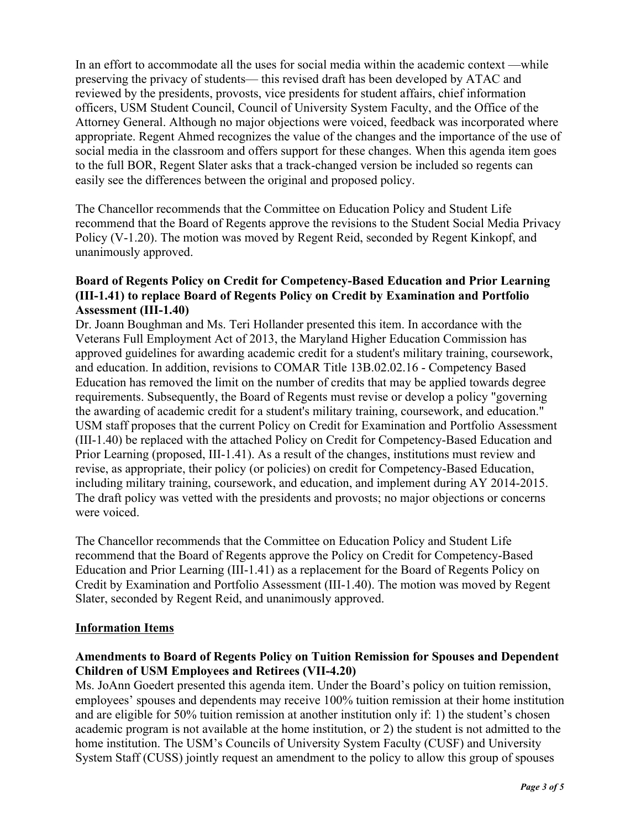In an effort to accommodate all the uses for social media within the academic context —while preserving the privacy of students— this revised draft has been developed by ATAC and reviewed by the presidents, provosts, vice presidents for student affairs, chief information officers, USM Student Council, Council of University System Faculty, and the Office of the Attorney General. Although no major objections were voiced, feedback was incorporated where appropriate. Regent Ahmed recognizes the value of the changes and the importance of the use of social media in the classroom and offers support for these changes. When this agenda item goes to the full BOR, Regent Slater asks that a track-changed version be included so regents can easily see the differences between the original and proposed policy.

The Chancellor recommends that the Committee on Education Policy and Student Life recommend that the Board of Regents approve the revisions to the Student Social Media Privacy Policy (V-1.20). The motion was moved by Regent Reid, seconded by Regent Kinkopf, and unanimously approved.

## **Board of Regents Policy on Credit for Competency-Based Education and Prior Learning (III-1.41) to replace Board of Regents Policy on Credit by Examination and Portfolio Assessment (III-1.40)**

Dr. Joann Boughman and Ms. Teri Hollander presented this item. In accordance with the Veterans Full Employment Act of 2013, the Maryland Higher Education Commission has approved guidelines for awarding academic credit for a student's military training, coursework, and education. In addition, revisions to COMAR Title 13B.02.02.16 - Competency Based Education has removed the limit on the number of credits that may be applied towards degree requirements. Subsequently, the Board of Regents must revise or develop a policy "governing the awarding of academic credit for a student's military training, coursework, and education." USM staff proposes that the current Policy on Credit for Examination and Portfolio Assessment (III-1.40) be replaced with the attached Policy on Credit for Competency-Based Education and Prior Learning (proposed, III-1.41). As a result of the changes, institutions must review and revise, as appropriate, their policy (or policies) on credit for Competency-Based Education, including military training, coursework, and education, and implement during AY 2014-2015. The draft policy was vetted with the presidents and provosts; no major objections or concerns were voiced.

The Chancellor recommends that the Committee on Education Policy and Student Life recommend that the Board of Regents approve the Policy on Credit for Competency-Based Education and Prior Learning (III-1.41) as a replacement for the Board of Regents Policy on Credit by Examination and Portfolio Assessment (III-1.40). The motion was moved by Regent Slater, seconded by Regent Reid, and unanimously approved.

## **Information Items**

### **Amendments to Board of Regents Policy on Tuition Remission for Spouses and Dependent Children of USM Employees and Retirees (VII-4.20)**

Ms. JoAnn Goedert presented this agenda item. Under the Board's policy on tuition remission, employees' spouses and dependents may receive 100% tuition remission at their home institution and are eligible for 50% tuition remission at another institution only if: 1) the student's chosen academic program is not available at the home institution, or 2) the student is not admitted to the home institution. The USM's Councils of University System Faculty (CUSF) and University System Staff (CUSS) jointly request an amendment to the policy to allow this group of spouses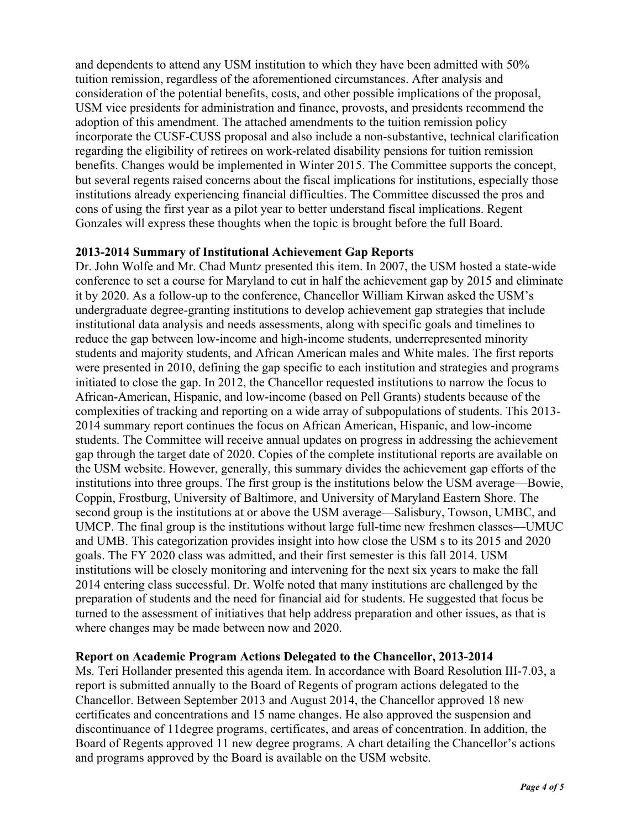and dependents to attend any USM institution to which they have been admitted with 50% tuition remission, regardless of the aforementioned circumstances. After analysis and consideration of the potential benefits, costs, and other possible implications of the proposal, USM vice presidents for administration and finance, provosts, and presidents recommend the adoption of this amendment. The attached amendments to the tuition remission policy incorporate the CUSF-CUSS proposal and also include a non-substantive, technical clarification regarding the eligibility of retirees on work-related disability pensions for tuition remission benefits. Changes would be implemented in Winter 2015. The Committee supports the concept, but several regents raised concerns about the fiscal implications for institutions, especially those institutions already experiencing financial difficulties. The Committee discussed the pros and cons of using the first year as a pilot year to better understand fiscal implications. Regent Gonzales will express these thoughts when the topic is brought before the full Board.

#### **2013-2014 Summary of Institutional Achievement Gap Reports**

Dr. John Wolfe and Mr. Chad Muntz presented this item. In 2007, the USM hosted a state-wide conference to set a course for Maryland to cut in half the achievement gap by 2015 and eliminate it by 2020. As a follow-up to the conference, Chancellor William Kirwan asked the USM's undergraduate degree-granting institutions to develop achievement gap strategies that include institutional data analysis and needs assessments, along with specific goals and timelines to reduce the gap between low-income and high-income students, underrepresented minority students and majority students, and African American males and White males. The first reports were presented in 2010, defining the gap specific to each institution and strategies and programs initiated to close the gap. In 2012, the Chancellor requested institutions to narrow the focus to African-American, Hispanic, and low-income (based on Pell Grants) students because of the complexities of tracking and reporting on a wide array of subpopulations of students. This 2013- 2014 summary report continues the focus on African American, Hispanic, and low-income students. The Committee will receive annual updates on progress in addressing the achievement gap through the target date of 2020. Copies of the complete institutional reports are available on the USM website. However, generally, this summary divides the achievement gap efforts of the institutions into three groups. The first group is the institutions below the USM average—Bowie, Coppin, Frostburg, University of Baltimore, and University of Maryland Eastern Shore. The second group is the institutions at or above the USM average—Salisbury, Towson, UMBC, and UMCP. The final group is the institutions without large full-time new freshmen classes—UMUC and UMB. This categorization provides insight into how close the USM s to its 2015 and 2020 goals. The FY 2020 class was admitted, and their first semester is this fall 2014. USM institutions will be closely monitoring and intervening for the next six years to make the fall 2014 entering class successful. Dr. Wolfe noted that many institutions are challenged by the preparation of students and the need for financial aid for students. He suggested that focus be turned to the assessment of initiatives that help address preparation and other issues, as that is where changes may be made between now and 2020.

## **Report on Academic Program Actions Delegated to the Chancellor, 2013-2014**

Ms. Teri Hollander presented this agenda item. In accordance with Board Resolution III-7.03, a report is submitted annually to the Board of Regents of program actions delegated to the Chancellor. Between September 2013 and August 2014, the Chancellor approved 18 new certificates and concentrations and 15 name changes. He also approved the suspension and discontinuance of 11degree programs, certificates, and areas of concentration. In addition, the Board of Regents approved 11 new degree programs. A chart detailing the Chancellor's actions and programs approved by the Board is available on the USM website.